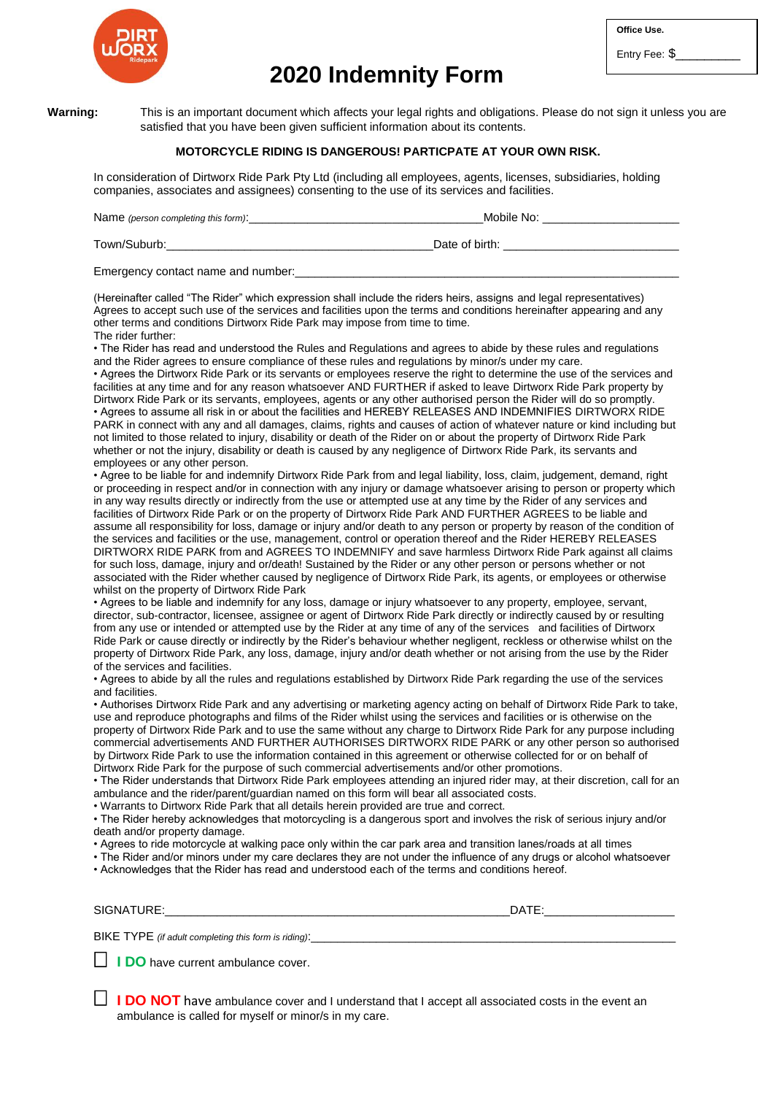

# **2020 Indemnity Form**

**Office Use.**

Entry Fee: \$

**Warning:** This is an important document which affects your legal rights and obligations. Please do not sign it unless you are satisfied that you have been given sufficient information about its contents.

### **MOTORCYCLE RIDING IS DANGEROUS! PARTICPATE AT YOUR OWN RISK.**

In consideration of Dirtworx Ride Park Pty Ltd (including all employees, agents, licenses, subsidiaries, holding companies, associates and assignees) consenting to the use of its services and facilities.

| Name (person completing this form): | Mobile No:     |
|-------------------------------------|----------------|
| Town/Suburb:                        | Date of birth: |

Emergency contact name and number:

(Hereinafter called "The Rider" which expression shall include the riders heirs, assigns and legal representatives) Agrees to accept such use of the services and facilities upon the terms and conditions hereinafter appearing and any other terms and conditions Dirtworx Ride Park may impose from time to time.

#### The rider further:

• The Rider has read and understood the Rules and Regulations and agrees to abide by these rules and regulations and the Rider agrees to ensure compliance of these rules and regulations by minor/s under my care.

• Agrees the Dirtworx Ride Park or its servants or employees reserve the right to determine the use of the services and facilities at any time and for any reason whatsoever AND FURTHER if asked to leave Dirtworx Ride Park property by Dirtworx Ride Park or its servants, employees, agents or any other authorised person the Rider will do so promptly. • Agrees to assume all risk in or about the facilities and HEREBY RELEASES AND INDEMNIFIES DIRTWORX RIDE PARK in connect with any and all damages, claims, rights and causes of action of whatever nature or kind including but not limited to those related to injury, disability or death of the Rider on or about the property of Dirtworx Ride Park whether or not the injury, disability or death is caused by any negligence of Dirtworx Ride Park, its servants and employees or any other person.

• Agree to be liable for and indemnify Dirtworx Ride Park from and legal liability, loss, claim, judgement, demand, right or proceeding in respect and/or in connection with any injury or damage whatsoever arising to person or property which in any way results directly or indirectly from the use or attempted use at any time by the Rider of any services and facilities of Dirtworx Ride Park or on the property of Dirtworx Ride Park AND FURTHER AGREES to be liable and assume all responsibility for loss, damage or injury and/or death to any person or property by reason of the condition of the services and facilities or the use, management, control or operation thereof and the Rider HEREBY RELEASES DIRTWORX RIDE PARK from and AGREES TO INDEMNIFY and save harmless Dirtworx Ride Park against all claims for such loss, damage, injury and or/death! Sustained by the Rider or any other person or persons whether or not associated with the Rider whether caused by negligence of Dirtworx Ride Park, its agents, or employees or otherwise whilst on the property of Dirtworx Ride Park

• Agrees to be liable and indemnify for any loss, damage or injury whatsoever to any property, employee, servant, director, sub-contractor, licensee, assignee or agent of Dirtworx Ride Park directly or indirectly caused by or resulting from any use or intended or attempted use by the Rider at any time of any of the services and facilities of Dirtworx Ride Park or cause directly or indirectly by the Rider's behaviour whether negligent, reckless or otherwise whilst on the property of Dirtworx Ride Park, any loss, damage, injury and/or death whether or not arising from the use by the Rider of the services and facilities.

• Agrees to abide by all the rules and regulations established by Dirtworx Ride Park regarding the use of the services and facilities.

• Authorises Dirtworx Ride Park and any advertising or marketing agency acting on behalf of Dirtworx Ride Park to take, use and reproduce photographs and films of the Rider whilst using the services and facilities or is otherwise on the property of Dirtworx Ride Park and to use the same without any charge to Dirtworx Ride Park for any purpose including commercial advertisements AND FURTHER AUTHORISES DIRTWORX RIDE PARK or any other person so authorised by Dirtworx Ride Park to use the information contained in this agreement or otherwise collected for or on behalf of Dirtworx Ride Park for the purpose of such commercial advertisements and/or other promotions.

• The Rider understands that Dirtworx Ride Park employees attending an injured rider may, at their discretion, call for an ambulance and the rider/parent/guardian named on this form will bear all associated costs.

• Warrants to Dirtworx Ride Park that all details herein provided are true and correct.

• The Rider hereby acknowledges that motorcycling is a dangerous sport and involves the risk of serious injury and/or death and/or property damage.

• Agrees to ride motorcycle at walking pace only within the car park area and transition lanes/roads at all times

• The Rider and/or minors under my care declares they are not under the influence of any drugs or alcohol whatsoever • Acknowledges that the Rider has read and understood each of the terms and conditions hereof.

| <b>SIGN</b><br>$\ddotsc$ | $-$<br>-<br>JA. |
|--------------------------|-----------------|
|                          |                 |

BIKE TYPE *(if adult completing this form is riding)*:

**I I DO** have current ambulance cover.

**I DO NOT** have ambulance cover and I understand that I accept all associated costs in the event an ambulance is called for myself or minor/s in my care.